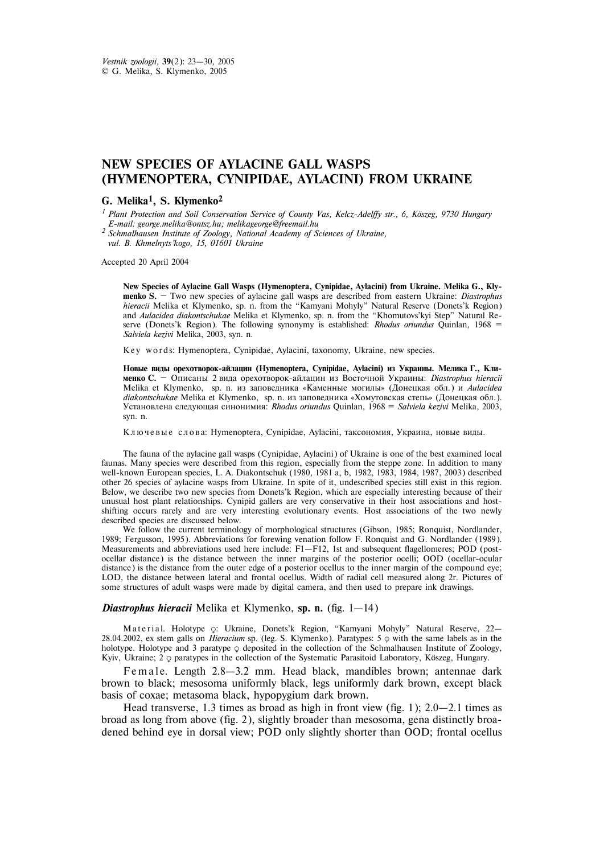## **NEW SPECIES OF AYLACINE GALL WASPS (HYMENOPTERA, CYNIPIDAE, AYLACINI) FROM UKRAINE**

## **G. Melika1, S. Klymenko2**

<sup>1</sup> Plant Protection and Soil Conservation Service of County Vas, Kelcz-Adelffy str., 6, Köszeg, 9730 Hungary *E-mail: george.melika@ontsz.hu; melikageorge@freemail.hu*

*<sup>2</sup> Schmalhausen Institute of Zoology, National Academy of Sciences of Ukraine, vul. B. Khmelnyts'kogo, 15, 01601 Ukraine*

Accepted 20 April 2004

**New Species of Aylacine Gall Wasps (Hymenoptera, Cynipidae, Aylacini) from Ukraine. Melika G., Klymenko S.** — Two new species of aylacine gall wasps are described from eastern Ukraine: *Diastrophus hieracii* Melika et Klymenko, sp. n. from the "Kamyani Mohyly" Natural Reserve (Donets'k Region) and *Aulacidea diakontschukae* Melika et Klymenko, sp. n. from the "Khomutovs'kyi Step" Natural Reserve (Donets'k Region). The following synonymy is established: *Rhodus oriundus* Quinlan, 1968 = *Salviela kezivi* Melika, 2003, syn. n.

Key words: Hymenoptera, Cynipidae, Aylacini, taxonomy, Ukraine, new species.

Новые виды орехотворок-айлацин (Hymenoptera, Cynipidae, Aylacini) из Украины. Мелика Г., Кли**менко С.** — Описаны 2 вида орехотворок-айлацин из Восточной Украины: *Diastrophus hieracii* Melika et Klymenko, sp. n. из заповедника «Каменные могилы» (Донецкая обл.) и Aulacidea *diakontschukae* Melika et Klymenko, sp. n. из заповедника «Хомутовская степь» (Донецкая обл.). Óñòàíîâëåíà ñëåäóþùàÿ ñèíîíèìèÿ: *Rhodus oriundus* Quinlan, 1968 = *Salviela kezivi* Melika, 2003, syn. n.

Ключевые слова: Hymenoptera, Cynipidae, Aylacini, таксономия, Украина, новые виды.

The fauna of the aylacine gall wasps (Cynipidae, Aylacini) of Ukraine is one of the best examined local faunas. Many species were described from this region, especially from the steppe zone. In addition to many well-known European species, L. A. Diakontschuk (1980, 1981 a, b, 1982, 1983, 1984, 1987, 2003) described other 26 species of aylacine wasps from Ukraine. In spite of it, undescribed species still exist in this region. Below, we describe two new species from Donets'k Region, which are especially interesting because of their unusual host plant relationships. Cynipid gallers are very conservative in their host associations and hostshifting occurs rarely and are very interesting evolutionary events. Host associations of the two newly described species are discussed below.

We follow the current terminology of morphological structures (Gibson, 1985; Ronquist, Nordlander, 1989; Fergusson, 1995). Abbreviations for forewing venation follow F. Ronquist and G. Nordlander (1989). Measurements and abbreviations used here include: F1–F12, 1st and subsequent flagellomeres; POD (postocellar distance) is the distance between the inner margins of the posterior ocelli; OOD (ocellar-ocular distance) is the distance from the outer edge of a posterior ocellus to the inner margin of the compound eye; LOD, the distance between lateral and frontal ocellus. Width of radial cell measured along 2r. Pictures of some structures of adult wasps were made by digital camera, and then used to prepare ink drawings.

## *Diastrophus hieracii* Melika et Klymenko, **sp. n.** (fig. 1–14)

Material. Holotype  $\circ$ : Ukraine, Donets'k Region, "Kamyani Mohyly" Natural Reserve, 22– 28.04.2002, ex stem galls on *Hieracium* sp. (leg. S. Klymenko). Paratypes: 5  $\circ$  with the same labels as in the holotype. Holotype and 3 paratype  $\circ$  deposited in the collection of the Schmalhausen Institute of Zoology, Kyiv, Ukraine; 2  $\phi$  paratypes in the collection of the Systematic Parasitoid Laboratory, Köszeg, Hungary.

Fe m a l e. Length 2.8–3.2 mm. Head black, mandibles brown; antennae dark brown to black; mesosoma uniformly black, legs uniformly dark brown, except black basis of coxae; metasoma black, hypopygium dark brown.

Head transverse, 1.3 times as broad as high in front view (fig. 1); 2.0–2.1 times as broad as long from above (fig. 2), slightly broader than mesosoma, gena distinctly broadened behind eye in dorsal view; POD only slightly shorter than OOD; frontal ocellus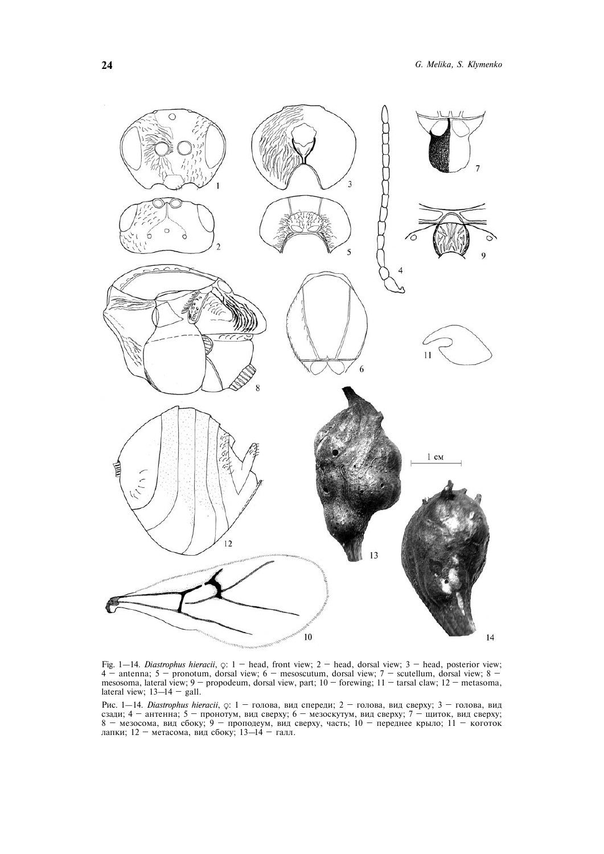

Fig. 1—14. *Diastrophus hieracii*,  $\varphi$ : 1 — head, front view; 2 — head, dorsal view; 3 — head, posterior view; 4 — antenna; 5 — pronotum, dorsal view; 6 — mesoscutum, dorsal view; 7 — scutellum, dorsal view; 8 mesosoma, lateral view; 9 — propodeum, dorsal view, part; 10 — forewing; 11 — tarsal claw; 12 — metasoma, lateral view;  $13-14$  – gall.

Рис. 1–14. *Diastrophus hieracii*,  $\circ$ : 1 – голова, вид спереди; 2 – голова, вид сверху; 3 – голова, вид сзади; 4 — антенна; 5 — пронотум, вид сверху; 6 — мезоскутум, вид сверху; 7 — щиток, вид сверху; 8 — мезосома, вид сбоку; 9 — проподеум, вид сверху, часть; 10 — переднее крыло; 11 — коготок лапки; 12 — метасома, вид сбоку; 13—14 — галл.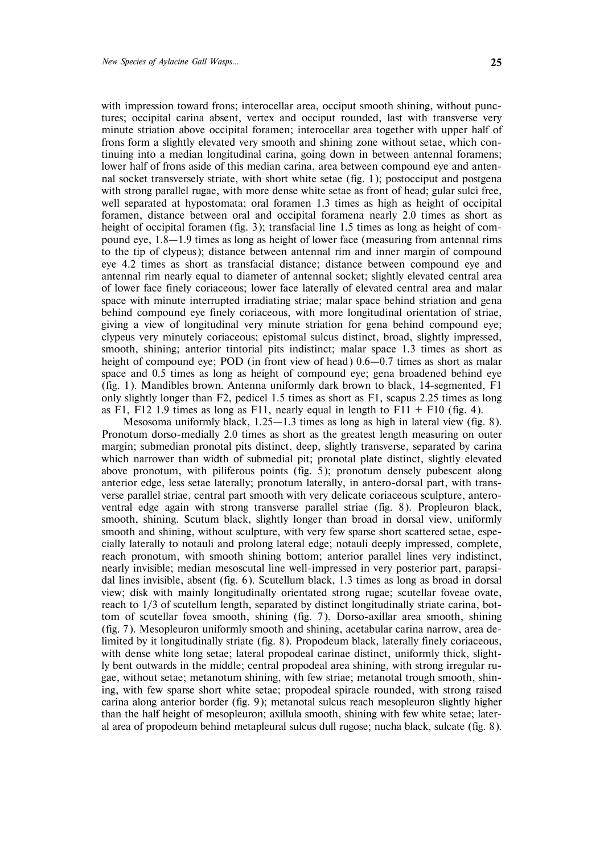with impression toward frons; interocellar area, occiput smooth shining, without punctures; occipital carina absent, vertex and occiput rounded, last with transverse very minute striation above occipital foramen; interocellar area together with upper half of frons form a slightly elevated very smooth and shining zone without setae, which continuing into a median longitudinal carina, going down in between antennal foramens; lower half of frons aside of this median carina, area between compound eye and antennal socket transversely striate, with short white setae (fig. 1); postocciput and postgena with strong parallel rugae, with more dense white setae as front of head; gular sulci free, well separated at hypostomata; oral foramen 1.3 times as high as height of occipital foramen, distance between oral and occipital foramena nearly 2.0 times as short as height of occipital foramen (fig. 3); transfacial line 1.5 times as long as height of compound eye,  $1.8-1.9$  times as long as height of lower face (measuring from antennal rims to the tip of clypeus); distance between antennal rim and inner margin of compound eye 4.2 times as short as transfacial distance; distance between compound eye and antennal rim nearly equal to diameter of antennal socket; slightly elevated central area of lower face finely coriaceous; lower face laterally of elevated central area and malar space with minute interrupted irradiating striae; malar space behind striation and gena behind compound eye finely coriaceous, with more longitudinal orientation of striae, giving a view of longitudinal very minute striation for gena behind compound eye; clypeus very minutely coriaceous; epistomal sulcus distinct, broad, slightly impressed, smooth, shining; anterior tintorial pits indistinct; malar space 1.3 times as short as height of compound eye; POD (in front view of head)  $0.6-0.7$  times as short as malar space and 0.5 times as long as height of compound eye; gena broadened behind eye (fig. 1). Mandibles brown. Antenna uniformly dark brown to black, 14-segmented, F1 only slightly longer than F2, pedicel 1.5 times as short as F1, scapus 2.25 times as long as F1, F12 1.9 times as long as F11, nearly equal in length to F11 + F10 (fig. 4).

Mesosoma uniformly black, 1.25–1.3 times as long as high in lateral view (fig. 8). Pronotum dorso-medially 2.0 times as short as the greatest length measuring on outer margin; submedian pronotal pits distinct, deep, slightly transverse, separated by carina which narrower than width of submedial pit; pronotal plate distinct, slightly elevated above pronotum, with piliferous points (fig. 5); pronotum densely pubescent along anterior edge, less setae laterally; pronotum laterally, in antero-dorsal part, with transverse parallel striae, central part smooth with very delicate coriaceous sculpture, anteroventral edge again with strong transverse parallel striae (fig. 8). Propleuron black, smooth, shining. Scutum black, slightly longer than broad in dorsal view, uniformly smooth and shining, without sculpture, with very few sparse short scattered setae, especially laterally to notauli and prolong lateral edge; notauli deeply impressed, complete, reach pronotum, with smooth shining bottom; anterior parallel lines very indistinct, nearly invisible; median mesoscutal line well-impressed in very posterior part, parapsidal lines invisible, absent (fig. 6). Scutellum black, 1.3 times as long as broad in dorsal view; disk with mainly longitudinally orientated strong rugae; scutellar foveae ovate, reach to 1/3 of scutellum length, separated by distinct longitudinally striate carina, bottom of scutellar fovea smooth, shining (fig. 7). Dorso-axillar area smooth, shining (fig. 7). Mesopleuron uniformly smooth and shining, acetabular carina narrow, area delimited by it longitudinally striate (fig. 8). Propodeum black, laterally finely coriaceous, with dense white long setae; lateral propodeal carinae distinct, uniformly thick, slightly bent outwards in the middle; central propodeal area shining, with strong irregular rugae, without setae; metanotum shining, with few striae; metanotal trough smooth, shining, with few sparse short white setae; propodeal spiracle rounded, with strong raised carina along anterior border (fig. 9); metanotal sulcus reach mesopleuron slightly higher than the half height of mesopleuron; axillula smooth, shining with few white setae; lateral area of propodeum behind metapleural sulcus dull rugose; nucha black, sulcate (fig. 8).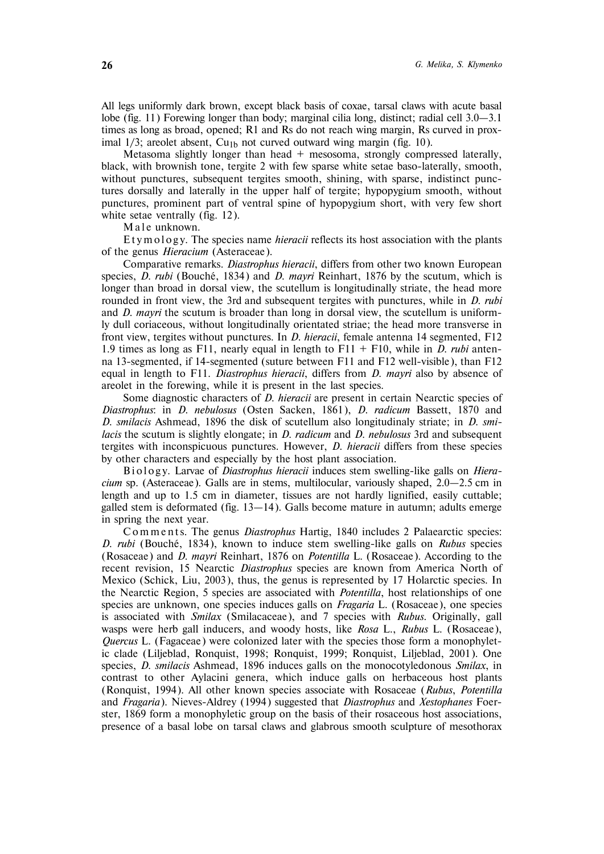All legs uniformly dark brown, except black basis of coxae, tarsal claws with acute basal lobe (fig. 11) Forewing longer than body; marginal cilia long, distinct; radial cell 3.0–3.1 times as long as broad, opened; R1 and Rs do not reach wing margin, Rs curved in proximal  $1/3$ ; areolet absent, Cu<sub>1b</sub> not curved outward wing margin (fig. 10).

Metasoma slightly longer than head + mesosoma, strongly compressed laterally, black, with brownish tone, tergite 2 with few sparse white setae baso-laterally, smooth, without punctures, subsequent tergites smooth, shining, with sparse, indistinct punctures dorsally and laterally in the upper half of tergite; hypopygium smooth, without punctures, prominent part of ventral spine of hypopygium short, with very few short white setae ventrally (fig. 12).

Male unknown.

Et y m o logy. The species name *hieracii* reflects its host association with the plants of the genus *Hieracium* (Asteraceae).

Comparative remarks. *Diastrophus hieracii*, differs from other two known European species, *D. rubi* (Bouché, 1834) and *D. mayri* Reinhart, 1876 by the scutum, which is longer than broad in dorsal view, the scutellum is longitudinally striate, the head more rounded in front view, the 3rd and subsequent tergites with punctures, while in *D. rubi* and *D. mayri* the scutum is broader than long in dorsal view, the scutellum is uniformly dull coriaceous, without longitudinally orientated striae; the head more transverse in front view, tergites without punctures. In *D. hieracii*, female antenna 14 segmented, F12 1.9 times as long as F11, nearly equal in length to F11 + F10, while in *D. rubi* antenna 13-segmented, if 14-segmented (suture between F11 and F12 well-visible), than F12 equal in length to F11. *Diastrophus hieracii*, differs from *D. mayri* also by absence of areolet in the forewing, while it is present in the last species.

Some diagnostic characters of *D. hieracii* are present in certain Nearctic species of *Diastrophus*: in *D. nebulosus* (Osten Sacken, 1861), *D. radicum* Bassett, 1870 and *D*. *smilacis* Ashmead, 1896 the disk of scutellum also longitudinaly striate; in *D. smilacis* the scutum is slightly elongate; in *D. radicum* and *D. nebulosus* 3rd and subsequent tergites with inconspicuous punctures. However, *D. hieracii* differs from these species by other characters and especially by the host plant association.

Biology. Larvae of *Diastrophus hieracii* induces stem swelling-like galls on *Hieracium* sp. (Asteraceae). Galls are in stems, multilocular, variously shaped, 2.0–2.5 cm in length and up to 1.5 cm in diameter, tissues are not hardly lignified, easily cuttable; galled stem is deformated (fig. 13–14). Galls become mature in autumn; adults emerge in spring the next year.

C o m m e n t s. The genus *Diastrophus* Hartig, 1840 includes 2 Palaearctic species: *D. rubi* (Bouche´, 1834), known to induce stem swelling-like galls on *Rubus* species (Rosaceae) and *D*. *mayri* Reinhart, 1876 on *Potentilla* L. (Rosaceae). According to the recent revision, 15 Nearctic *Diastrophus* species are known from America North of Mexico (Schick, Liu, 2003), thus, the genus is represented by 17 Holarctic species. In the Nearctic Region, 5 species are associated with *Potentilla*, host relationships of one species are unknown, one species induces galls on *Fragaria* L. (Rosaceae), one species is associated with *Smilax* (Smilacaceae), and 7 species with *Rubus*. Originally, gall wasps were herb gall inducers, and woody hosts, like *Rosa* L., *Rubus* L. (Rosaceae), *Quercus* L. (Fagaceae) were colonized later with the species those form a monophyletic clade (Liljeblad, Ronquist, 1998; Ronquist, 1999; Ronquist, Liljeblad, 2001). One species, *D. smilacis* Ashmead, 1896 induces galls on the monocotyledonous *Smilax*, in contrast to other Aylacini genera, which induce galls on herbaceous host plants (Ronquist, 1994). All other known species associate with Rosaceae (*Rubus*, *Potentilla* and *Fragaria*). Nieves-Aldrey (1994) suggested that *Diastrophus* and *Xestophanes* Foerster, 1869 form a monophyletic group on the basis of their rosaceous host associations, presence of a basal lobe on tarsal claws and glabrous smooth sculpture of mesothorax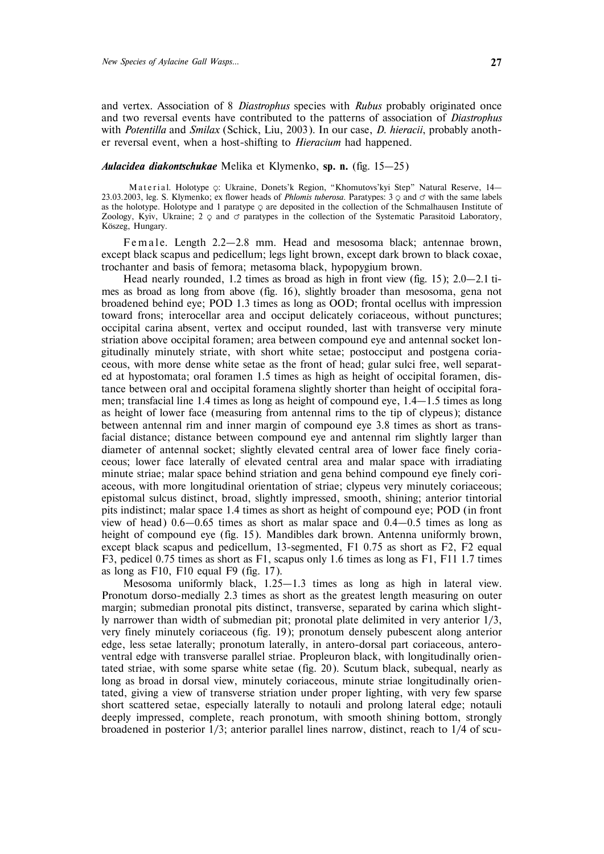and vertex. Association of 8 *Diastrophus* species with *Rubus* probably originated once and two reversal events have contributed to the patterns of association of *Diastrophus* with *Potentilla* and *Smilax* (Schick, Liu, 2003). In our case, *D. hieracii*, probably another reversal event, when a host-shifting to *Hieracium* had happened.

## *Aulacidea diakontschukae* Melika et Klymenko, **sp. n.** (fig. 15–25)

Material. Holotype  $\circ$ : Ukraine, Donets'k Region, "Khomutovs'kyi Step" Natural Reserve, 14– 23.03.2003, leg. S. Klymenko; ex flower heads of *Phlomis tuberosa*. Paratypes: 3  $\circ$  and  $\circ$  with the same labels as the holotype. Holotype and 1 paratype  $\varphi$  are deposited in the collection of the Schmalhausen Institute of Zoology, Kyiv, Ukraine;  $2 \varphi$  and  $\varphi$  paratypes in the collection of the Systematic Parasitoid Laboratory, Köszeg, Hungary.

Fe m a le. Length 2.2–2.8 mm. Head and mesosoma black; antennae brown, except black scapus and pedicellum; legs light brown, except dark brown to black coxae, trochanter and basis of femora; metasoma black, hypopygium brown.

Head nearly rounded, 1.2 times as broad as high in front view (fig. 15); 2.0–2.1 times as broad as long from above (fig. 16), slightly broader than mesosoma, gena not broadened behind eye; POD 1.3 times as long as OOD; frontal ocellus with impression toward frons; interocellar area and occiput delicately coriaceous, without punctures; occipital carina absent, vertex and occiput rounded, last with transverse very minute striation above occipital foramen; area between compound eye and antennal socket longitudinally minutely striate, with short white setae; postocciput and postgena coriaceous, with more dense white setae as the front of head; gular sulci free, well separated at hypostomata; oral foramen 1.5 times as high as height of occipital foramen, distance between oral and occipital foramena slightly shorter than height of occipital foramen; transfacial line 1.4 times as long as height of compound eye,  $1.4-1.5$  times as long as height of lower face (measuring from antennal rims to the tip of clypeus); distance between antennal rim and inner margin of compound eye 3.8 times as short as transfacial distance; distance between compound eye and antennal rim slightly larger than diameter of antennal socket; slightly elevated central area of lower face finely coriaceous; lower face laterally of elevated central area and malar space with irradiating minute striae; malar space behind striation and gena behind compound eye finely coriaceous, with more longitudinal orientation of striae; clypeus very minutely coriaceous; epistomal sulcus distinct, broad, slightly impressed, smooth, shining; anterior tintorial pits indistinct; malar space 1.4 times as short as height of compound eye; POD (in front view of head) 0.6–0.65 times as short as malar space and 0.4–0.5 times as long as height of compound eye (fig. 15). Mandibles dark brown. Antenna uniformly brown, except black scapus and pedicellum, 13-segmented, F1 0.75 as short as F2, F2 equal F3, pedicel 0.75 times as short as F1, scapus only 1.6 times as long as F1, F11 1.7 times as long as F10, F10 equal F9 (fig. 17).

Mesosoma uniformly black, 1.25–1.3 times as long as high in lateral view. Pronotum dorso-medially 2.3 times as short as the greatest length measuring on outer margin; submedian pronotal pits distinct, transverse, separated by carina which slightly narrower than width of submedian pit; pronotal plate delimited in very anterior 1/3, very finely minutely coriaceous (fig. 19); pronotum densely pubescent along anterior edge, less setae laterally; pronotum laterally, in antero-dorsal part coriaceous, anteroventral edge with transverse parallel striae. Propleuron black, with longitudinally orientated striae, with some sparse white setae (fig. 20). Scutum black, subequal, nearly as long as broad in dorsal view, minutely coriaceous, minute striae longitudinally orientated, giving a view of transverse striation under proper lighting, with very few sparse short scattered setae, especially laterally to notauli and prolong lateral edge; notauli deeply impressed, complete, reach pronotum, with smooth shining bottom, strongly broadened in posterior 1/3; anterior parallel lines narrow, distinct, reach to 1/4 of scu-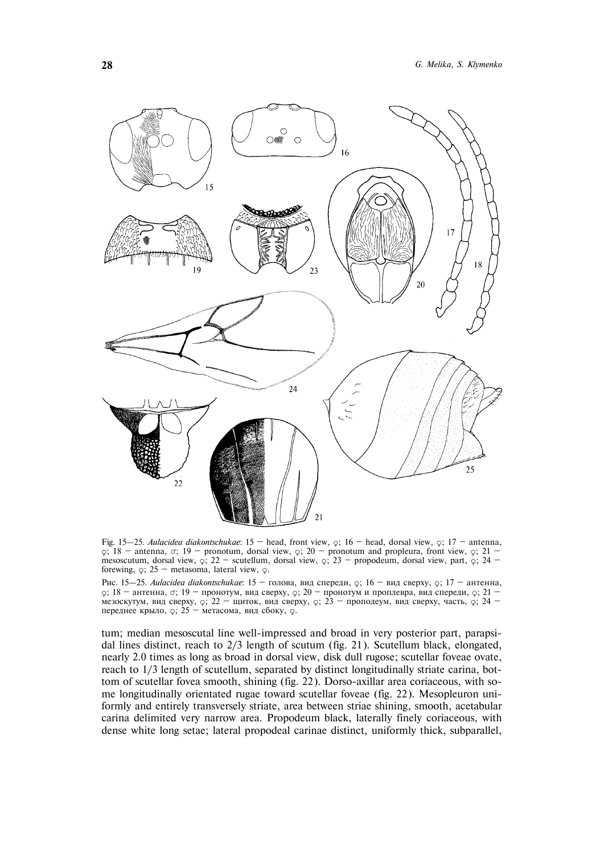

Fig. 15–25. *Aulacidea diakontschukae*: 15 – head, front view,  $\varphi$ ; 16 – head, dorsal view,  $\varphi$ ; 17 – antenna,  $\circ$ ; 18 – antenna,  $\circ$ ; 19 – pronotum, dorsal view,  $\circ$ ; 20 – pronotum and propleura, front view,  $\circ$ ; 21 – mesoscutum, dorsal view,  $\circ$ ; 22 — scutellum, dorsal view,  $\circ$ ; 23 — propodeum, dorsal view, part,  $\circ$ ; 24 forewing,  $\varphi$ ; 25 – metasoma, lateral view,  $\varphi$ .

Рис. 15–25. *Aulacidea diakontschukae*: 15 - толова, вид спереди, ç; 16 - вид сверху, ç; 17 - антенна,  $\gamma$ ; 18 — антенна,  $\sigma$ ; 19 — пронотум, вид сверху,  $\zeta$ ; 20 — пронотум и проплевра, вид спереди,  $\zeta$ ; 21 – мезоскутум, вид сверху,  $\varphi$ ; 22 — щиток, вид сверху,  $\varphi$ ; 23 — проподеум, вид сверху, часть,  $\varphi$ ; 24 переднее крыло,  $\varphi$ ; 25 — метасома, вид сбоку,  $\varphi$ .

tum; median mesoscutal line well-impressed and broad in very posterior part, parapsidal lines distinct, reach to 2/3 length of scutum (fig. 21). Scutellum black, elongated, nearly 2.0 times as long as broad in dorsal view, disk dull rugose; scutellar foveae ovate, reach to 1/3 length of scutellum, separated by distinct longitudinally striate carina, bottom of scutellar fovea smooth, shining (fig. 22). Dorso-axillar area coriaceous, with some longitudinally orientated rugae toward scutellar foveae (fig. 22). Mesopleuron uniformly and entirely transversely striate, area between striae shining, smooth, acetabular carina delimited very narrow area. Propodeum black, laterally finely coriaceous, with dense white long setae; lateral propodeal carinae distinct, uniformly thick, subparallel,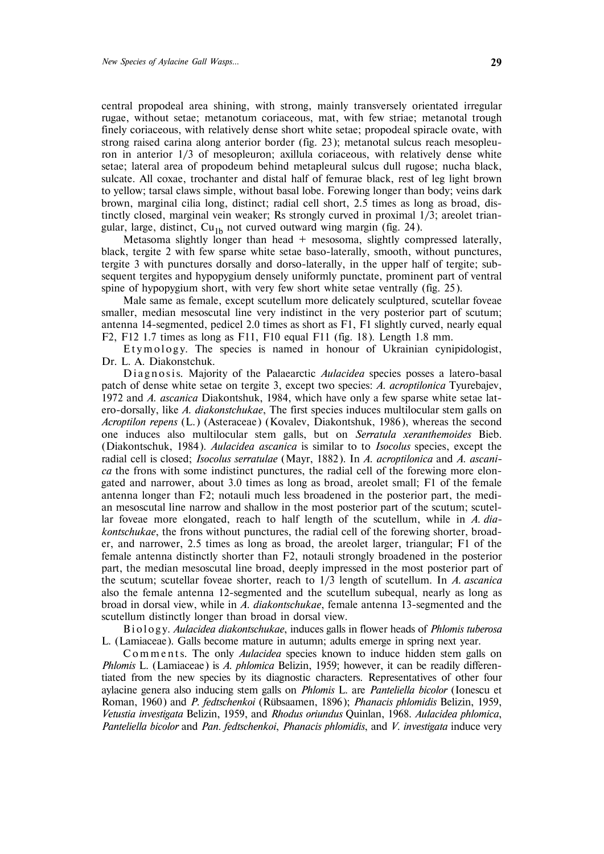central propodeal area shining, with strong, mainly transversely orientated irregular rugae, without setae; metanotum coriaceous, mat, with few striae; metanotal trough finely coriaceous, with relatively dense short white setae; propodeal spiracle ovate, with strong raised carina along anterior border (fig. 23); metanotal sulcus reach mesopleuron in anterior 1/3 of mesopleuron; axillula coriaceous, with relatively dense white setae; lateral area of propodeum behind metapleural sulcus dull rugose; nucha black, sulcate. All coxae, trochanter and distal half of femurae black, rest of leg light brown to yellow; tarsal claws simple, without basal lobe. Forewing longer than body; veins dark brown, marginal cilia long, distinct; radial cell short, 2.5 times as long as broad, distinctly closed, marginal vein weaker; Rs strongly curved in proximal 1/3; areolet triangular, large, distinct,  $Cu<sub>1b</sub>$  not curved outward wing margin (fig. 24).

Metasoma slightly longer than head  $+$  mesosoma, slightly compressed laterally, black, tergite 2 with few sparse white setae baso-laterally, smooth, without punctures, tergite 3 with punctures dorsally and dorso-laterally, in the upper half of tergite; subsequent tergites and hypopygium densely uniformly punctate, prominent part of ventral spine of hypopygium short, with very few short white setae ventrally (fig. 25).

Male same as female, except scutellum more delicately sculptured, scutellar foveae smaller, median mesoscutal line very indistinct in the very posterior part of scutum; antenna 14-segmented, pedicel 2.0 times as short as F1, F1 slightly curved, nearly equal F2, F12 1.7 times as long as F11, F10 equal F11 (fig. 18). Length 1.8 mm.

Etymology. The species is named in honour of Ukrainian cynipidologist, Dr. L. A. Diakonstchuk.

Di agnosis. Majority of the Palaearctic *Aulacidea* species posses a latero-basal patch of dense white setae on tergite 3, except two species: *A. acroptilonica* Tyurebajev, 1972 and *A. ascanica* Diakontshuk, 1984, which have only a few sparse white setae latero-dorsally, like *A*. *diakonstchukae*, The first species induces multilocular stem galls on *Acroptilon repens* (L.) (Asteraceae) (Kovalev, Diakontshuk, 1986), whereas the second one induces also multilocular stem galls, but on *Serratula xeranthemoides* Bieb. (Diakontschuk, 1984). *Aulacidea ascanica* is similar to to *Isocolus* species, except the radial cell is closed; *Isocolus serratulae* (Mayr, 1882). In *A. acroptilonica* and *A. ascanica* the frons with some indistinct punctures, the radial cell of the forewing more elongated and narrower, about 3.0 times as long as broad, areolet small; F1 of the female antenna longer than F2; notauli much less broadened in the posterior part, the median mesoscutal line narrow and shallow in the most posterior part of the scutum; scutellar foveae more elongated, reach to half length of the scutellum, while in *A. diakontschukae*, the frons without punctures, the radial cell of the forewing shorter, broader, and narrower, 2.5 times as long as broad, the areolet larger, triangular; F1 of the female antenna distinctly shorter than F2, notauli strongly broadened in the posterior part, the median mesoscutal line broad, deeply impressed in the most posterior part of the scutum; scutellar foveae shorter, reach to 1/3 length of scutellum. In *A. ascanica* also the female antenna 12-segmented and the scutellum subequal, nearly as long as broad in dorsal view, while in *A. diakontschukae*, female antenna 13-segmented and the scutellum distinctly longer than broad in dorsal view.

B i o l o g y. *Aulacidea diakontschukae*, induces galls in flower heads of *Phlomis tuberosa* L. (Lamiaceae). Galls become mature in autumn; adults emerge in spring next year.

Comments. The only *Aulacidea* species known to induce hidden stem galls on *Phlomis* L. (Lamiaceae) is *A. phlomica* Belizin, 1959; however, it can be readily differentiated from the new species by its diagnostic characters. Representatives of other four aylacine genera also inducing stem galls on *Phlomis* L. are *Panteliella bicolor* (Ionescu et Roman, 1960) and *P. fedtschenkoi* (Rübsaamen, 1896); *Phanacis phlomidis* Belizin, 1959, *Vetustia investigata* Belizin, 1959, and *Rhodus oriundus* Quinlan, 1968. *Aulacidea phlomica*, *Panteliella bicolor* and *Pan*. *fedtschenkoi*, *Phanacis phlomidis*, and *V. investigata* induce very